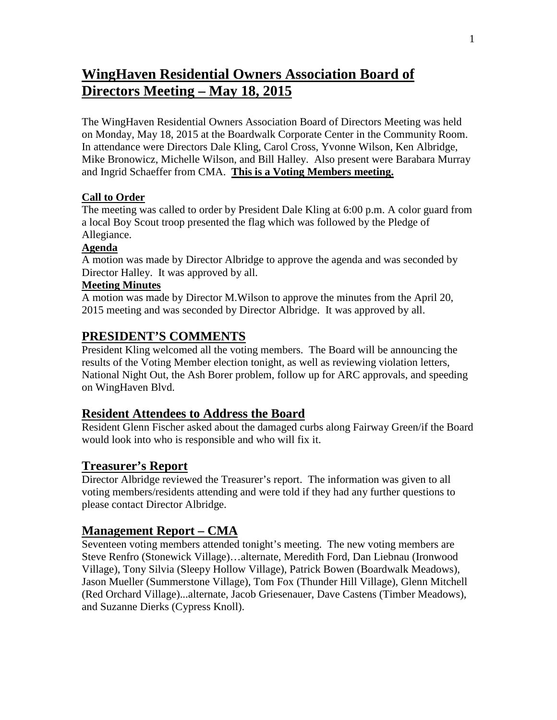# **WingHaven Residential Owners Association Board of Directors Meeting – May 18, 2015**

The WingHaven Residential Owners Association Board of Directors Meeting was held on Monday, May 18, 2015 at the Boardwalk Corporate Center in the Community Room. In attendance were Directors Dale Kling, Carol Cross, Yvonne Wilson, Ken Albridge, Mike Bronowicz, Michelle Wilson, and Bill Halley. Also present were Barabara Murray and Ingrid Schaeffer from CMA. **This is a Voting Members meeting.**

## **Call to Order**

The meeting was called to order by President Dale Kling at 6:00 p.m. A color guard from a local Boy Scout troop presented the flag which was followed by the Pledge of Allegiance.

#### **Agenda**

A motion was made by Director Albridge to approve the agenda and was seconded by Director Halley. It was approved by all.

#### **Meeting Minutes**

A motion was made by Director M.Wilson to approve the minutes from the April 20, 2015 meeting and was seconded by Director Albridge. It was approved by all.

## **PRESIDENT'S COMMENTS**

President Kling welcomed all the voting members. The Board will be announcing the results of the Voting Member election tonight, as well as reviewing violation letters, National Night Out, the Ash Borer problem, follow up for ARC approvals, and speeding on WingHaven Blvd.

## **Resident Attendees to Address the Board**

Resident Glenn Fischer asked about the damaged curbs along Fairway Green/if the Board would look into who is responsible and who will fix it.

## **Treasurer's Report**

Director Albridge reviewed the Treasurer's report. The information was given to all voting members/residents attending and were told if they had any further questions to please contact Director Albridge.

## **Management Report – CMA**

Seventeen voting members attended tonight's meeting. The new voting members are Steve Renfro (Stonewick Village)…alternate, Meredith Ford, Dan Liebnau (Ironwood Village), Tony Silvia (Sleepy Hollow Village), Patrick Bowen (Boardwalk Meadows), Jason Mueller (Summerstone Village), Tom Fox (Thunder Hill Village), Glenn Mitchell (Red Orchard Village)...alternate, Jacob Griesenauer, Dave Castens (Timber Meadows), and Suzanne Dierks (Cypress Knoll).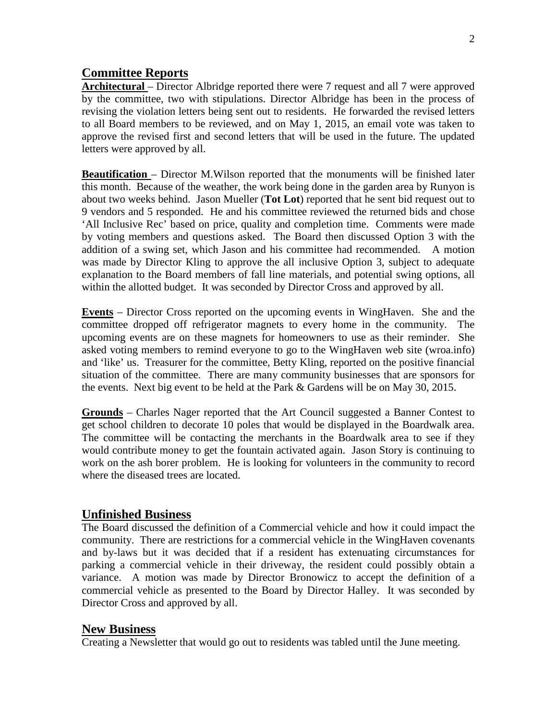## **Committee Reports**

**Architectural** – Director Albridge reported there were 7 request and all 7 were approved by the committee, two with stipulations. Director Albridge has been in the process of revising the violation letters being sent out to residents. He forwarded the revised letters to all Board members to be reviewed, and on May 1, 2015, an email vote was taken to approve the revised first and second letters that will be used in the future. The updated letters were approved by all.

**Beautification** – Director M.Wilson reported that the monuments will be finished later this month. Because of the weather, the work being done in the garden area by Runyon is about two weeks behind. Jason Mueller (**Tot Lot**) reported that he sent bid request out to 9 vendors and 5 responded. He and his committee reviewed the returned bids and chose 'All Inclusive Rec' based on price, quality and completion time. Comments were made by voting members and questions asked. The Board then discussed Option 3 with the addition of a swing set, which Jason and his committee had recommended. A motion was made by Director Kling to approve the all inclusive Option 3, subject to adequate explanation to the Board members of fall line materials, and potential swing options, all within the allotted budget. It was seconded by Director Cross and approved by all.

**Events** – Director Cross reported on the upcoming events in WingHaven. She and the committee dropped off refrigerator magnets to every home in the community. The upcoming events are on these magnets for homeowners to use as their reminder. She asked voting members to remind everyone to go to the WingHaven web site (wroa.info) and 'like' us. Treasurer for the committee, Betty Kling, reported on the positive financial situation of the committee. There are many community businesses that are sponsors for the events. Next big event to be held at the Park & Gardens will be on May 30, 2015.

**Grounds** – Charles Nager reported that the Art Council suggested a Banner Contest to get school children to decorate 10 poles that would be displayed in the Boardwalk area. The committee will be contacting the merchants in the Boardwalk area to see if they would contribute money to get the fountain activated again. Jason Story is continuing to work on the ash borer problem. He is looking for volunteers in the community to record where the diseased trees are located.

#### **Unfinished Business**

The Board discussed the definition of a Commercial vehicle and how it could impact the community. There are restrictions for a commercial vehicle in the WingHaven covenants and by-laws but it was decided that if a resident has extenuating circumstances for parking a commercial vehicle in their driveway, the resident could possibly obtain a variance. A motion was made by Director Bronowicz to accept the definition of a commercial vehicle as presented to the Board by Director Halley. It was seconded by Director Cross and approved by all.

#### **New Business**

Creating a Newsletter that would go out to residents was tabled until the June meeting.